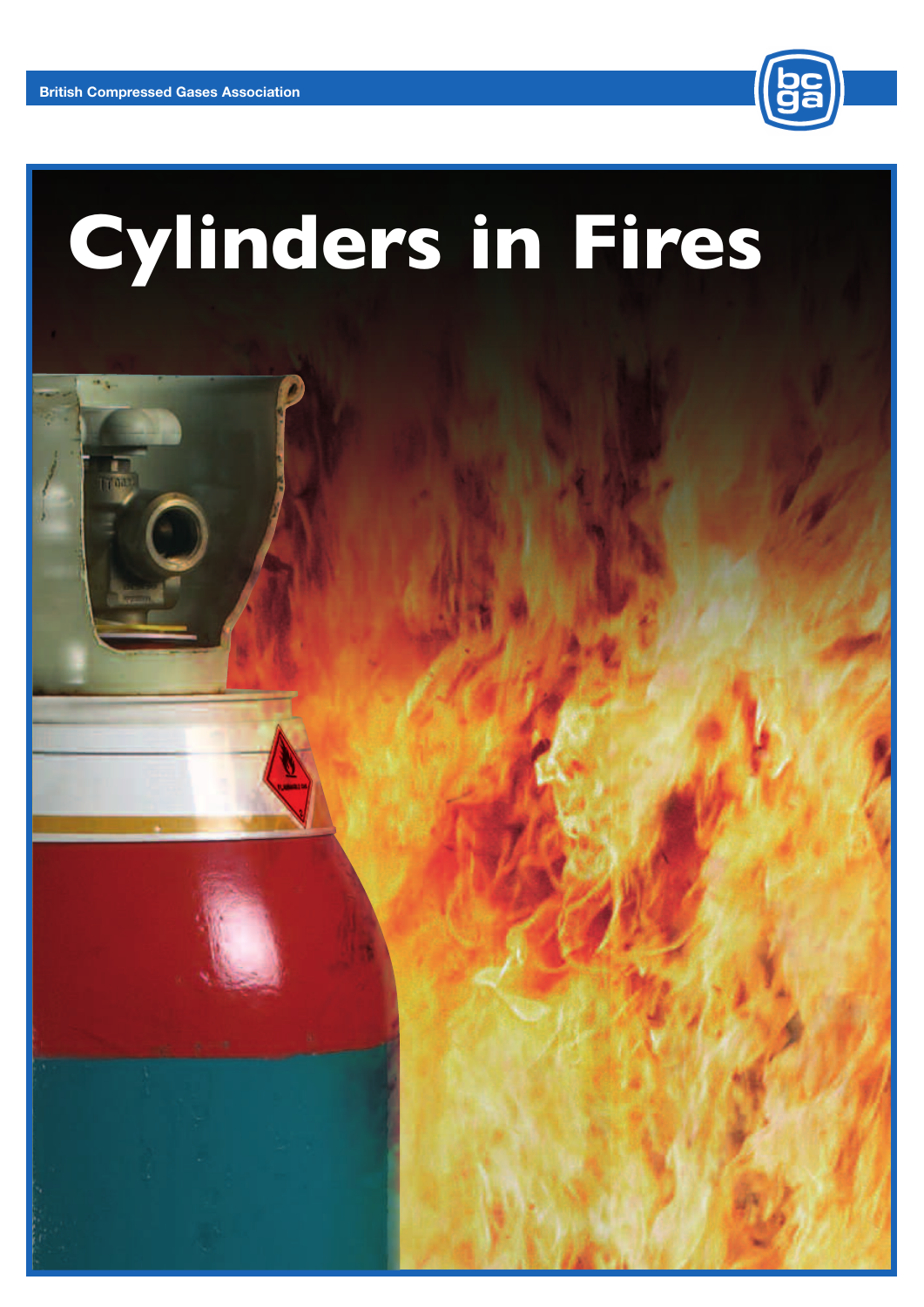

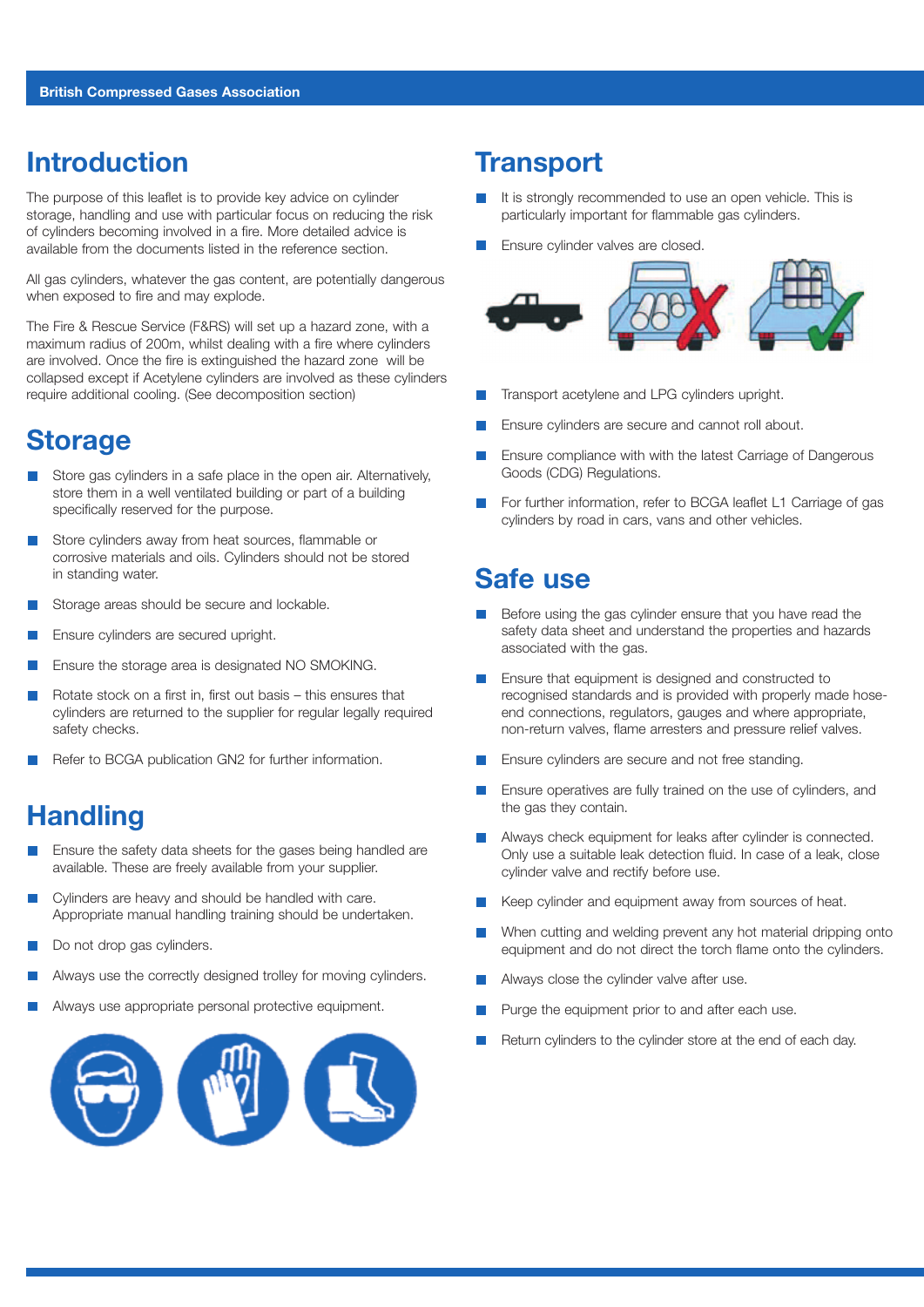#### **Introduction**

The purpose of this leaflet is to provide key advice on cylinder storage, handling and use with particular focus on reducing the risk of cylinders becoming involved in a fire. More detailed advice is available from the documents listed in the reference section.

All gas cylinders, whatever the gas content, are potentially dangerous when exposed to fire and may explode.

The Fire & Rescue Service (F&RS) will set up a hazard zone, with a maximum radius of 200m, whilst dealing with a fire where cylinders are involved. Once the fire is extinguished the hazard zone will be collapsed except if Acetylene cylinders are involved as these cylinders require additional cooling. (See decomposition section)

#### **Storage**

- Store gas cylinders in a safe place in the open air. Alternatively, store them in a well ventilated building or part of a building specifically reserved for the purpose.
- Store cylinders away from heat sources, flammable or corrosive materials and oils. Cylinders should not be stored in standing water.
- Storage areas should be secure and lockable.
- Ensure cylinders are secured upright.
- Ensure the storage area is designated NO SMOKING.
- Rotate stock on a first in, first out basis this ensures that cylinders are returned to the supplier for regular legally required safety checks.
- Refer to BCGA publication GN2 for further information.

### **Handling**

- Ensure the safety data sheets for the gases being handled are available. These are freely available from your supplier.
- Cylinders are heavy and should be handled with care. Appropriate manual handling training should be undertaken.
- Do not drop gas cylinders.  $\vert \cdot \vert$
- Always use the correctly designed trolley for moving cylinders.
- Always use appropriate personal protective equipment. П



#### **Transport**

- It is strongly recommended to use an open vehicle. This is particularly important for flammable gas cylinders.
- Ensure cylinder valves are closed.



- Transport acetylene and LPG cylinders upright.
- Ensure cylinders are secure and cannot roll about.
- Ensure compliance with with the latest Carriage of Dangerous Goods (CDG) Regulations.
- For further information, refer to BCGA leaflet L1 Carriage of gas cylinders by road in cars, vans and other vehicles.

#### **Safe use**

- Before using the gas cylinder ensure that you have read the safety data sheet and understand the properties and hazards associated with the gas.
- Ensure that equipment is designed and constructed to recognised standards and is provided with properly made hoseend connections, regulators, gauges and where appropriate, non-return valves, flame arresters and pressure relief valves.
- Ensure cylinders are secure and not free standing.
- Ensure operatives are fully trained on the use of cylinders, and the gas they contain.
- Always check equipment for leaks after cylinder is connected. Only use a suitable leak detection fluid. In case of a leak, close cylinder valve and rectify before use.
- Keep cylinder and equipment away from sources of heat.
- When cutting and welding prevent any hot material dripping onto equipment and do not direct the torch flame onto the cylinders.
- Always close the cylinder valve after use.
- Purge the equipment prior to and after each use.
- Return cylinders to the cylinder store at the end of each day.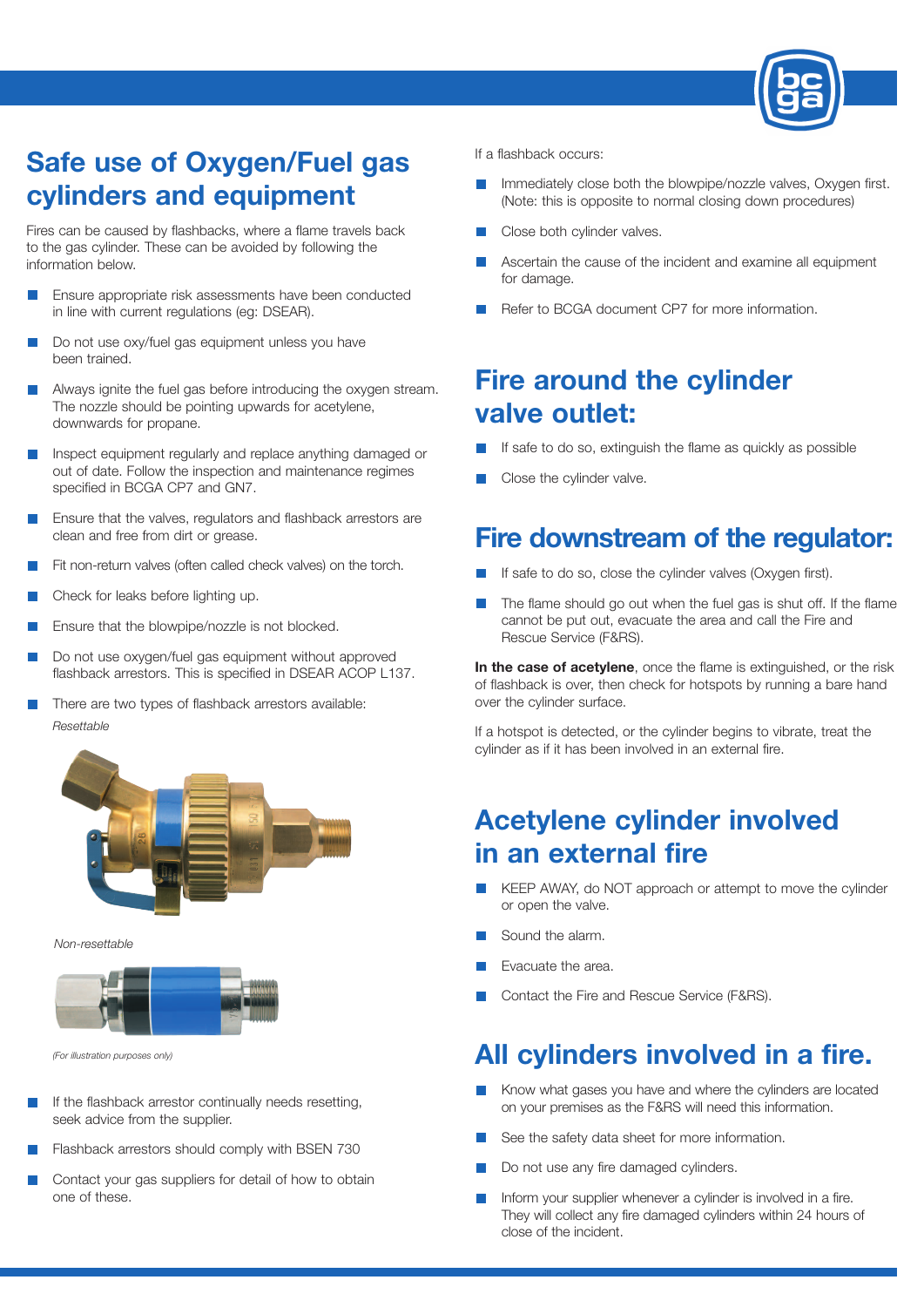

# **Safe use of Oxygen/Fuel gas cylinders and equipment**

Fires can be caused by flashbacks, where a flame travels back to the gas cylinder. These can be avoided by following the information below.

- Ensure appropriate risk assessments have been conducted in line with current regulations (eg: DSEAR).
- Do not use oxy/fuel gas equipment unless you have been trained.
- Always ignite the fuel gas before introducing the oxygen stream.  $\mathcal{C}^{\mathcal{A}}$ The nozzle should be pointing upwards for acetylene, downwards for propane.
- Inspect equipment regularly and replace anything damaged or out of date. Follow the inspection and maintenance regimes specified in BCGA CP7 and GN7.
- Ensure that the valves, regulators and flashback arrestors are clean and free from dirt or grease.
- Fit non-return valves (often called check valves) on the torch.
- Check for leaks before lighting up.
- Ensure that the blowpipe/nozzle is not blocked.
- Do not use oxygen/fuel gas equipment without approved flashback arrestors. This is specified in DSEAR ACOP L137.
- П There are two types of flashback arrestors available: *Resettable*



*Non-resettable*



*(For illustration purposes only)*

- If the flashback arrestor continually needs resetting, seek advice from the supplier.
- Flashback arrestors should comply with BSEN 730
- Contact your gas suppliers for detail of how to obtain one of these.

If a flashback occurs:

- Immediately close both the blowpipe/nozzle valves, Oxygen first. (Note: this is opposite to normal closing down procedures)
- Close both cylinder valves.
- Ascertain the cause of the incident and examine all equipment for damage.
- Refer to BCGA document CP7 for more information.

### **Fire around the cylinder valve outlet:**

- If safe to do so, extinguish the flame as quickly as possible
- Close the cylinder valve.

#### **Fire downstream of the regulator:**

- If safe to do so, close the cylinder valves (Oxygen first).
- The flame should go out when the fuel gas is shut off. If the flame cannot be put out, evacuate the area and call the Fire and Rescue Service (F&RS).

**In the case of acetylene**, once the flame is extinguished, or the risk of flashback is over, then check for hotspots by running a bare hand over the cylinder surface.

If a hotspot is detected, or the cylinder begins to vibrate, treat the cylinder as if it has been involved in an external fire.

# **Acetylene cylinder involved in an external fire**

- KEEP AWAY, do NOT approach or attempt to move the cylinder or open the valve.
- Sound the alarm.
- Evacuate the area.
- Contact the Fire and Rescue Service (F&RS).

#### **All cylinders involved in a fire.**

- Know what gases you have and where the cylinders are located on your premises as the F&RS will need this information.
- See the safety data sheet for more information.
- Do not use any fire damaged cylinders.
- Inform your supplier whenever a cylinder is involved in a fire. They will collect any fire damaged cylinders within 24 hours of close of the incident.